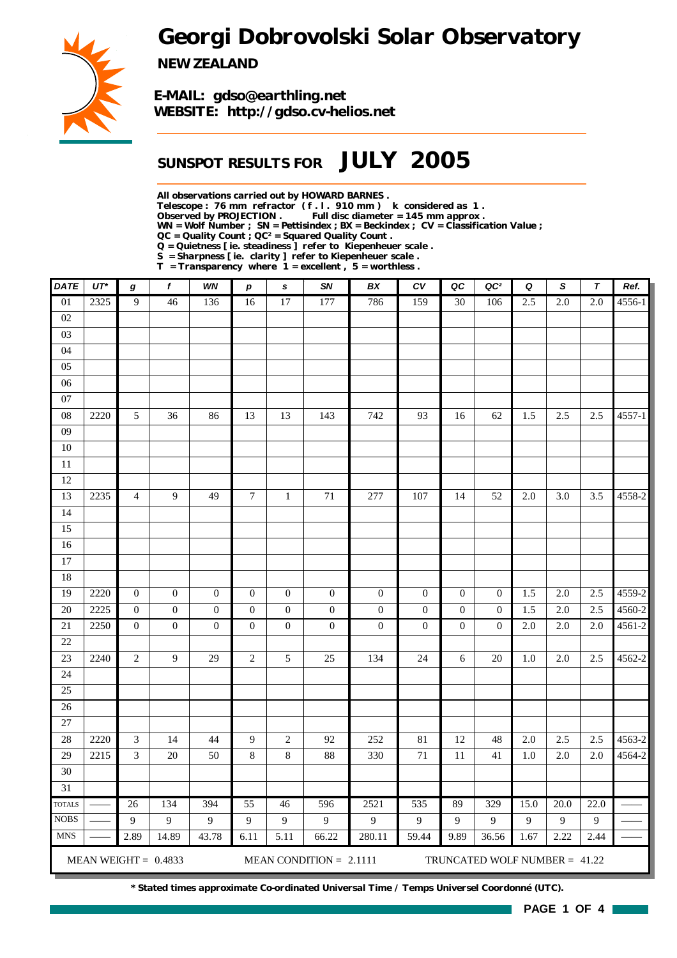# *Georgi Dobrovolski Solar Observatory*



*NEW ZEALAND*

*E-MAIL: gdso@earthling.net WEBSITE: http://gdso.cv-helios.net*

## *SUNSPOT RESULTS FOR JULY 2005*

*All observations carried out by HOWARD BARNES .*

*Telescope : 76 mm refractor ( f . l . 910 mm ) k considered as 1 .*

*Observed by PROJECTION . Full disc diameter = 145 mm approx .*

*WN = Wolf Number ; SN = Pettisindex ; BX = Beckindex ; CV = Classification Value ;*

*QC = Quality Count ; QC² = Squared Quality Count .*

*Q = Quietness [ ie. steadiness ] refer to Kiepenheuer scale .*

*S = Sharpness [ ie. clarity ] refer to Kiepenheuer scale . T = Transparency where 1 = excellent , 5 = worthless .*

| <b>DATE</b>     | $UT^*$ | g                           | f                      | WN               | $\boldsymbol{p}$ | $\mathbf{s}$     | SN                        | BX               | c v              | QC               | QC <sup>2</sup>                 | Q    | S                | T                | Ref.   |
|-----------------|--------|-----------------------------|------------------------|------------------|------------------|------------------|---------------------------|------------------|------------------|------------------|---------------------------------|------|------------------|------------------|--------|
| $\overline{01}$ | 2325   | $\overline{9}$              | 46                     | 136              | 16               | 17               | 177                       | 786              | 159              | $\overline{30}$  | 106                             | 2.5  | $\overline{2.0}$ | $\overline{2.0}$ | 4556-1 |
| 02              |        |                             |                        |                  |                  |                  |                           |                  |                  |                  |                                 |      |                  |                  |        |
| 03              |        |                             |                        |                  |                  |                  |                           |                  |                  |                  |                                 |      |                  |                  |        |
| 04              |        |                             |                        |                  |                  |                  |                           |                  |                  |                  |                                 |      |                  |                  |        |
| 05              |        |                             |                        |                  |                  |                  |                           |                  |                  |                  |                                 |      |                  |                  |        |
| 06              |        |                             |                        |                  |                  |                  |                           |                  |                  |                  |                                 |      |                  |                  |        |
| 07              |        |                             |                        |                  |                  |                  |                           |                  |                  |                  |                                 |      |                  |                  |        |
| 08              | 2220   | $\sqrt{5}$                  | 36                     | 86               | 13               | 13               | 143                       | 742              | 93               | 16               | 62                              | 1.5  | 2.5              | 2.5              | 4557-1 |
| 09              |        |                             |                        |                  |                  |                  |                           |                  |                  |                  |                                 |      |                  |                  |        |
| $10\,$          |        |                             |                        |                  |                  |                  |                           |                  |                  |                  |                                 |      |                  |                  |        |
| $11\,$          |        |                             |                        |                  |                  |                  |                           |                  |                  |                  |                                 |      |                  |                  |        |
| 12              |        |                             |                        |                  |                  |                  |                           |                  |                  |                  |                                 |      |                  |                  |        |
| 13              | 2235   | $\overline{4}$              | 9                      | 49               | $\boldsymbol{7}$ | $\mathbf{1}$     | 71                        | 277              | 107              | 14               | 52                              | 2.0  | 3.0              | 3.5              | 4558-2 |
| 14              |        |                             |                        |                  |                  |                  |                           |                  |                  |                  |                                 |      |                  |                  |        |
| 15              |        |                             |                        |                  |                  |                  |                           |                  |                  |                  |                                 |      |                  |                  |        |
| 16              |        |                             |                        |                  |                  |                  |                           |                  |                  |                  |                                 |      |                  |                  |        |
| 17              |        |                             |                        |                  |                  |                  |                           |                  |                  |                  |                                 |      |                  |                  |        |
| 18              |        |                             |                        |                  |                  |                  |                           |                  |                  |                  |                                 |      |                  |                  |        |
| 19              | 2220   | $\boldsymbol{0}$            | $\mathbf{0}$           | $\boldsymbol{0}$ | $\boldsymbol{0}$ | $\theta$         | $\boldsymbol{0}$          | $\boldsymbol{0}$ | $\boldsymbol{0}$ | $\mathbf{0}$     | $\theta$                        | 1.5  | 2.0              | 2.5              | 4559-2 |
| 20              | 2225   | $\boldsymbol{0}$            | $\boldsymbol{0}$       | $\boldsymbol{0}$ | $\boldsymbol{0}$ | $\boldsymbol{0}$ | $\boldsymbol{0}$          | $\boldsymbol{0}$ | $\boldsymbol{0}$ | $\boldsymbol{0}$ | $\boldsymbol{0}$                | 1.5  | 2.0              | 2.5              | 4560-2 |
| 21              | 2250   | $\boldsymbol{0}$            | $\boldsymbol{0}$       | $\mathbf 0$      | $\boldsymbol{0}$ | $\boldsymbol{0}$ | $\boldsymbol{0}$          | $\boldsymbol{0}$ | $\boldsymbol{0}$ | $\boldsymbol{0}$ | $\mathbf{0}$                    | 2.0  | $2.0\,$          | $2.0\,$          | 4561-2 |
| 22              |        |                             |                        |                  |                  |                  |                           |                  |                  |                  |                                 |      |                  |                  |        |
| 23              | 2240   | $\sqrt{2}$                  | 9                      | 29               | $\overline{c}$   | 5                | 25                        | 134              | 24               | $\sqrt{6}$       | 20                              | 1.0  | $2.0\,$          | 2.5              | 4562-2 |
| 24              |        |                             |                        |                  |                  |                  |                           |                  |                  |                  |                                 |      |                  |                  |        |
| 25<br>26        |        |                             |                        |                  |                  |                  |                           |                  |                  |                  |                                 |      |                  |                  |        |
| 27              |        |                             |                        |                  |                  |                  |                           |                  |                  |                  |                                 |      |                  |                  |        |
| 28              | 2220   | $\ensuremath{\mathfrak{Z}}$ | 14                     | $44$             | 9                | $\sqrt{2}$       | 92                        | 252              | $81\,$           | 12               | 48                              | 2.0  | 2.5              | $2.5\,$          | 4563-2 |
| 29              | 2215   | $\mathfrak{Z}$              | $20\,$                 | 50               | $\,8\,$          | $8\,$            | 88                        | 330              | $71\,$           | 11               | 41                              | 1.0  | $2.0\,$          | $2.0$            | 4564-2 |
| 30              |        |                             |                        |                  |                  |                  |                           |                  |                  |                  |                                 |      |                  |                  |        |
| $\overline{31}$ |        |                             |                        |                  |                  |                  |                           |                  |                  |                  |                                 |      |                  |                  |        |
| <b>TOTALS</b>   |        | 26                          | 134                    | 394              | $\overline{55}$  | 46               | 596                       | 2521             | 535              | 89               | 329                             | 15.0 | 20.0             | 22.0             |        |
| <b>NOBS</b>     |        | 9                           | 9                      | 9                | $\overline{9}$   | 9                | 9                         | $\mathbf{9}$     | 9                | 9                | 9                               | 9    | $\overline{9}$   | $\mathbf{9}$     |        |
| <b>MNS</b>      |        | 2.89                        | 14.89                  | 43.78            | 6.11             | 5.11             | 66.22                     | 280.11           | 59.44            | 9.89             | 36.56                           | 1.67 | 2.22             | 2.44             |        |
|                 |        |                             |                        |                  |                  |                  |                           |                  |                  |                  |                                 |      |                  |                  |        |
|                 |        |                             | MEAN WEIGHT = $0.4833$ |                  |                  |                  | MEAN CONDITION = $2.1111$ |                  |                  |                  | TRUNCATED WOLF NUMBER = $41.22$ |      |                  |                  |        |

*\* Stated times approximate Co-ordinated Universal Time / Temps Universel Coordonné (UTC).*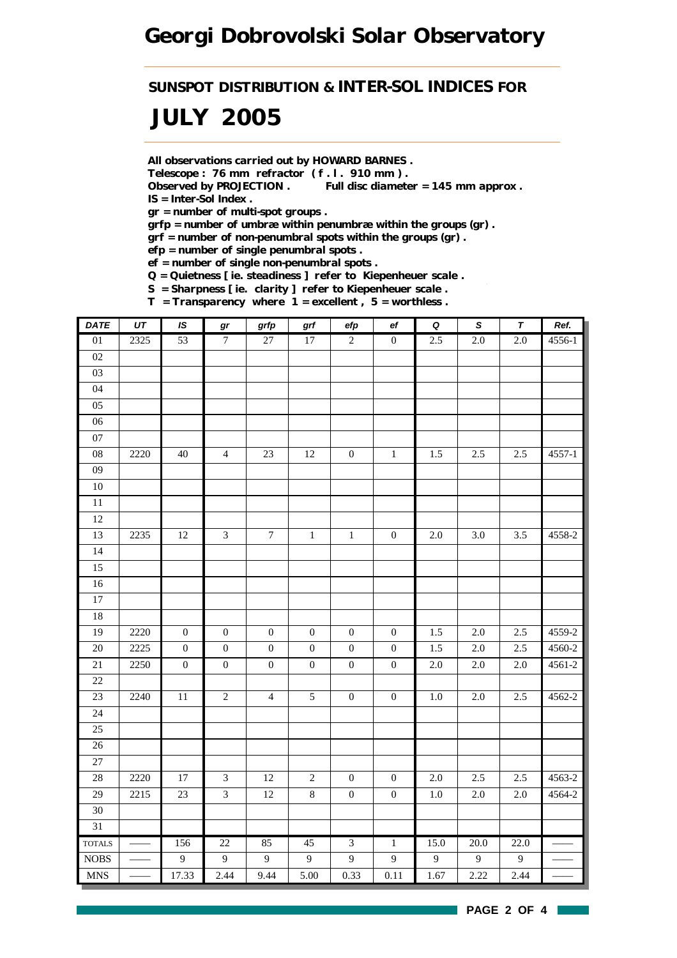*SUNSPOT DISTRIBUTION & INTER-SOL INDICES FOR*

# *JULY 2005*

*All observations carried out by HOWARD BARNES .*

*Telescope : 76 mm refractor ( f . l . 910 mm ) .*

*Observed by PROJECTION . Full disc diameter = 145 mm approx . IS = Inter-Sol Index .*

*gr = number of multi-spot groups .*

*grfp = number of umbræ within penumbræ within the groups (gr) .*

*grf = number of non-penumbral spots within the groups (gr) .*

*efp = number of single penumbral spots .*

*ef = number of single non-penumbral spots .*

*Q = Quietness [ ie. steadiness ] refer to Kiepenheuer scale .*

*S = Sharpness [ ie. clarity ] refer to Kiepenheuer scale .*

*T = Transparency where 1 = excellent , 5 = worthless .*

| <b>DATE</b>     | UT   | <b>IS</b>        | gr                      | grfp             | $\operatorname{\textsf{grf}}$ | efp              | ${\bf e}f$       | $\overline{\mathbf{Q}}$ | $\pmb{\mathsf{s}}$ | $\overline{\tau}$ | Ref.       |
|-----------------|------|------------------|-------------------------|------------------|-------------------------------|------------------|------------------|-------------------------|--------------------|-------------------|------------|
| 01              | 2325 | 53               | $\overline{7}$          | 27               | $17\,$                        | $\overline{2}$   | $\boldsymbol{0}$ | 2.5                     | 2.0                | 2.0               | 4556-1     |
| 02              |      |                  |                         |                  |                               |                  |                  |                         |                    |                   |            |
| 03              |      |                  |                         |                  |                               |                  |                  |                         |                    |                   |            |
| 04              |      |                  |                         |                  |                               |                  |                  |                         |                    |                   |            |
| $05\,$          |      |                  |                         |                  |                               |                  |                  |                         |                    |                   |            |
| 06              |      |                  |                         |                  |                               |                  |                  |                         |                    |                   |            |
| $07\,$          |      |                  |                         |                  |                               |                  |                  |                         |                    |                   |            |
| 08              | 2220 | $40\,$           | $\overline{4}$          | $23\,$           | $12\,$                        | $\boldsymbol{0}$ | $\,1\,$          | 1.5                     | 2.5                | 2.5               | $4557 - 1$ |
| $09\,$          |      |                  |                         |                  |                               |                  |                  |                         |                    |                   |            |
| $10\,$          |      |                  |                         |                  |                               |                  |                  |                         |                    |                   |            |
| $\overline{11}$ |      |                  |                         |                  |                               |                  |                  |                         |                    |                   |            |
| $12\,$          |      |                  |                         |                  |                               |                  |                  |                         |                    |                   |            |
| 13              | 2235 | 12               | $\mathfrak{Z}$          | $\boldsymbol{7}$ | $\,1\,$                       | $\,1\,$          | $\boldsymbol{0}$ | $2.0\,$                 | 3.0                | 3.5               | 4558-2     |
| $\overline{14}$ |      |                  |                         |                  |                               |                  |                  |                         |                    |                   |            |
| 15              |      |                  |                         |                  |                               |                  |                  |                         |                    |                   |            |
| 16              |      |                  |                         |                  |                               |                  |                  |                         |                    |                   |            |
| $\overline{17}$ |      |                  |                         |                  |                               |                  |                  |                         |                    |                   |            |
| 18              |      |                  |                         |                  |                               |                  |                  |                         |                    |                   |            |
| 19              | 2220 | $\boldsymbol{0}$ | $\boldsymbol{0}$        | $\boldsymbol{0}$ | $\boldsymbol{0}$              | $\boldsymbol{0}$ | $\boldsymbol{0}$ | 1.5                     | $2.0\,$            | 2.5               | 4559-2     |
| $\overline{20}$ | 2225 | $\boldsymbol{0}$ | $\boldsymbol{0}$        | $\boldsymbol{0}$ | $\boldsymbol{0}$              | $\boldsymbol{0}$ | $\boldsymbol{0}$ | 1.5                     | $\overline{2.0}$   | 2.5               | 4560-2     |
| 21              | 2250 | $\boldsymbol{0}$ | $\boldsymbol{0}$        | $\boldsymbol{0}$ | $\boldsymbol{0}$              | $\boldsymbol{0}$ | $\boldsymbol{0}$ | 2.0                     | 2.0                | 2.0               | 4561-2     |
| 22              |      |                  |                         |                  |                               |                  |                  |                         |                    |                   |            |
| 23              | 2240 | $11\,$           | $\sqrt{2}$              | $\overline{4}$   | $\mathfrak{S}$                | $\boldsymbol{0}$ | $\boldsymbol{0}$ | $1.0\,$                 | $2.0\,$            | 2.5               | 4562-2     |
| 24              |      |                  |                         |                  |                               |                  |                  |                         |                    |                   |            |
| 25              |      |                  |                         |                  |                               |                  |                  |                         |                    |                   |            |
| $26\,$          |      |                  |                         |                  |                               |                  |                  |                         |                    |                   |            |
| 27              |      |                  |                         |                  |                               |                  |                  |                         |                    |                   |            |
| 28              | 2220 | $17\,$           | $\mathfrak{Z}$          | $12\,$           | $\sqrt{2}$                    | $\boldsymbol{0}$ | $\boldsymbol{0}$ | $2.0\,$                 | 2.5                | 2.5               | 4563-2     |
| 29              | 2215 | $23\,$           | $\overline{\mathbf{3}}$ | $12\,$           | $\,8\,$                       | $\boldsymbol{0}$ | $\boldsymbol{0}$ | $1.0\,$                 | $2.0\,$            | $2.0\,$           | 4564-2     |
| 30              |      |                  |                         |                  |                               |                  |                  |                         |                    |                   |            |
| 31              |      |                  |                         |                  |                               |                  |                  |                         |                    |                   |            |
| <b>TOTALS</b>   |      | 156              | 22                      | 85               | 45                            | $\overline{3}$   | $\overline{1}$   | 15.0                    | 20.0               | 22.0              |            |
| <b>NOBS</b>     |      | $\overline{9}$   | $\overline{9}$          | 9                | 9                             | $\overline{9}$   | $\boldsymbol{9}$ | 9                       | $\overline{9}$     | 9                 |            |
| <b>MNS</b>      |      | 17.33            | 2.44                    | 9.44             | 5.00                          | 0.33             | 0.11             | 1.67                    | 2.22               | 2.44              |            |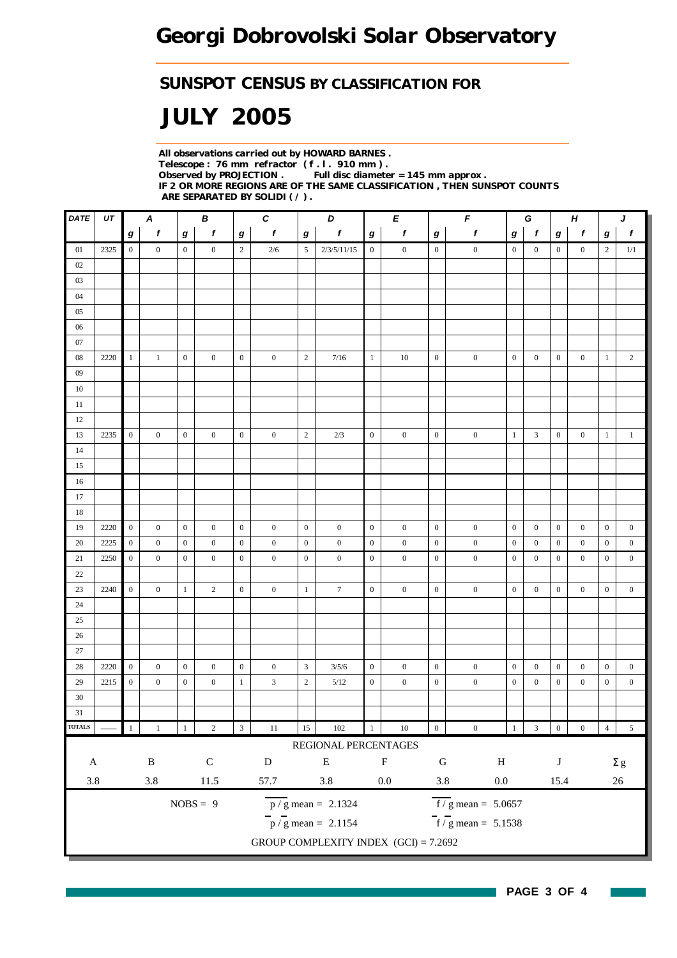### *SUNSPOT CENSUS BY CLASSIFICATION FOR*

# *JULY 2005*

*All observations carried out by HOWARD BARNES . Telescope : 76 mm refractor ( f . l . 910 mm ) . Full disc diameter = 145 mm approx . IF 2 OR MORE REGIONS ARE OF THE SAME CLASSIFICATION , THEN SUNSPOT COUNTS ARE SEPARATED BY SOLIDI ( / ) .*

| DATE          | UT   | $\boldsymbol{A}$<br>В |                  | $\boldsymbol{c}$<br>D |                  | Е                |                  | $\pmb{\digamma}$<br>G |                                         |                  | $H_{\rm}$        |                  | J                                |                  |                         |                  |                  |                  |                  |
|---------------|------|-----------------------|------------------|-----------------------|------------------|------------------|------------------|-----------------------|-----------------------------------------|------------------|------------------|------------------|----------------------------------|------------------|-------------------------|------------------|------------------|------------------|------------------|
|               |      | $\boldsymbol{g}$      | f                | g                     | f                | $\bm{g}$         | $\boldsymbol{f}$ | $\bm{g}$              | f                                       | $\bm{g}$         | f                | $\boldsymbol{g}$ | f                                | g                | $\mathbf{f}$            | $\bm{g}$         | $\boldsymbol{f}$ | $\boldsymbol{g}$ | $\boldsymbol{f}$ |
| 01            | 2325 | $\overline{0}$        | $\overline{0}$   | $\boldsymbol{0}$      | $\overline{0}$   | $\overline{2}$   | 2/6              | $5\overline{)}$       | 2/3/5/11/15                             | $\boldsymbol{0}$ | $\mathbf{0}$     | $\mathbf{0}$     | $\boldsymbol{0}$                 | $\boldsymbol{0}$ | $\overline{0}$          | $\overline{0}$   | $\overline{0}$   | 2                | 1/1              |
| 02            |      |                       |                  |                       |                  |                  |                  |                       |                                         |                  |                  |                  |                                  |                  |                         |                  |                  |                  |                  |
| 03            |      |                       |                  |                       |                  |                  |                  |                       |                                         |                  |                  |                  |                                  |                  |                         |                  |                  |                  |                  |
| 04            |      |                       |                  |                       |                  |                  |                  |                       |                                         |                  |                  |                  |                                  |                  |                         |                  |                  |                  |                  |
| 05            |      |                       |                  |                       |                  |                  |                  |                       |                                         |                  |                  |                  |                                  |                  |                         |                  |                  |                  |                  |
| $06\,$        |      |                       |                  |                       |                  |                  |                  |                       |                                         |                  |                  |                  |                                  |                  |                         |                  |                  |                  |                  |
| 07            |      |                       |                  |                       |                  |                  |                  |                       |                                         |                  |                  |                  |                                  |                  |                         |                  |                  |                  |                  |
| $08\,$        | 2220 | $\mathbf{1}$          | $\mathbf{1}$     | $\mathbf{0}$          | $\mathbf{0}$     | $\boldsymbol{0}$ | $\boldsymbol{0}$ | $\overline{2}$        | 7/16                                    | $\mathbf{1}$     | 10               | $\boldsymbol{0}$ | $\boldsymbol{0}$                 | $\boldsymbol{0}$ | $\boldsymbol{0}$        | $\boldsymbol{0}$ | $\mathbf{0}$     | $\mathbf{1}$     | $\overline{2}$   |
| $09\,$        |      |                       |                  |                       |                  |                  |                  |                       |                                         |                  |                  |                  |                                  |                  |                         |                  |                  |                  |                  |
| 10            |      |                       |                  |                       |                  |                  |                  |                       |                                         |                  |                  |                  |                                  |                  |                         |                  |                  |                  |                  |
| 11            |      |                       |                  |                       |                  |                  |                  |                       |                                         |                  |                  |                  |                                  |                  |                         |                  |                  |                  |                  |
| 12            |      |                       |                  |                       |                  |                  |                  |                       |                                         |                  |                  |                  |                                  |                  |                         |                  |                  |                  |                  |
| 13            | 2235 | $\boldsymbol{0}$      | $\boldsymbol{0}$ | $\mathbf{0}$          | $\overline{0}$   | $\boldsymbol{0}$ | $\boldsymbol{0}$ | $\sqrt{2}$            | 2/3                                     | $\mathbf{0}$     | $\boldsymbol{0}$ | $\boldsymbol{0}$ | $\boldsymbol{0}$                 | $\mathbf{1}$     | $\mathfrak{Z}$          | $\boldsymbol{0}$ | $\boldsymbol{0}$ | $\mathbf{1}$     | $\mathbf{1}$     |
| 14            |      |                       |                  |                       |                  |                  |                  |                       |                                         |                  |                  |                  |                                  |                  |                         |                  |                  |                  |                  |
| 15            |      |                       |                  |                       |                  |                  |                  |                       |                                         |                  |                  |                  |                                  |                  |                         |                  |                  |                  |                  |
| 16            |      |                       |                  |                       |                  |                  |                  |                       |                                         |                  |                  |                  |                                  |                  |                         |                  |                  |                  |                  |
| 17            |      |                       |                  |                       |                  |                  |                  |                       |                                         |                  |                  |                  |                                  |                  |                         |                  |                  |                  |                  |
| 18            |      |                       |                  |                       |                  |                  |                  |                       |                                         |                  |                  |                  |                                  |                  |                         |                  |                  |                  |                  |
| 19            | 2220 | $\overline{0}$        | $\boldsymbol{0}$ | $\boldsymbol{0}$      | $\boldsymbol{0}$ | $\overline{0}$   | $\boldsymbol{0}$ | $\boldsymbol{0}$      | $\boldsymbol{0}$                        | $\mathbf{0}$     | $\boldsymbol{0}$ | $\mathbf{0}$     | $\boldsymbol{0}$                 | $\mathbf{0}$     | $\boldsymbol{0}$        | $\boldsymbol{0}$ | $\boldsymbol{0}$ | $\boldsymbol{0}$ | $\boldsymbol{0}$ |
| 20            | 2225 | $\boldsymbol{0}$      | $\mathbf{0}$     | $\mathbf{0}$          | $\mathbf{0}$     | $\mathbf{0}$     | $\boldsymbol{0}$ | $\boldsymbol{0}$      | $\boldsymbol{0}$                        | $\boldsymbol{0}$ | $\boldsymbol{0}$ | $\boldsymbol{0}$ | $\boldsymbol{0}$                 | $\boldsymbol{0}$ | $\boldsymbol{0}$        | $\mathbf{0}$     | $\boldsymbol{0}$ | $\mathbf{0}$     | $\boldsymbol{0}$ |
| $21\,$        | 2250 | $\boldsymbol{0}$      | $\mathbf{0}$     | $\boldsymbol{0}$      | $\boldsymbol{0}$ | $\mathbf{0}$     | $\boldsymbol{0}$ | $\boldsymbol{0}$      | $\boldsymbol{0}$                        | $\mathbf{0}$     | $\boldsymbol{0}$ | $\boldsymbol{0}$ | $\boldsymbol{0}$                 | $\boldsymbol{0}$ | $\mathbf{0}$            | $\mathbf{0}$     | $\boldsymbol{0}$ | $\boldsymbol{0}$ | $\mathbf{0}$     |
| 22            |      |                       |                  |                       |                  |                  |                  |                       |                                         |                  |                  |                  |                                  |                  |                         |                  |                  |                  |                  |
| 23            | 2240 | $\overline{0}$        | $\mathbf{0}$     | $\mathbf{1}$          | $\overline{2}$   | $\mathbf{0}$     | $\boldsymbol{0}$ | $\mathbf{1}$          | $\tau$                                  | $\mathbf{0}$     | $\boldsymbol{0}$ | $\boldsymbol{0}$ | $\boldsymbol{0}$                 | $\boldsymbol{0}$ | $\boldsymbol{0}$        | $\boldsymbol{0}$ | $\boldsymbol{0}$ | $\overline{0}$   | $\overline{0}$   |
| 24            |      |                       |                  |                       |                  |                  |                  |                       |                                         |                  |                  |                  |                                  |                  |                         |                  |                  |                  |                  |
| 25            |      |                       |                  |                       |                  |                  |                  |                       |                                         |                  |                  |                  |                                  |                  |                         |                  |                  |                  |                  |
| 26            |      |                       |                  |                       |                  |                  |                  |                       |                                         |                  |                  |                  |                                  |                  |                         |                  |                  |                  |                  |
| 27            |      |                       |                  |                       |                  |                  |                  |                       |                                         |                  |                  |                  |                                  |                  |                         |                  |                  |                  |                  |
| 28            | 2220 | $\boldsymbol{0}$      | $\mathbf{0}$     | $\bf{0}$              | $\mathbf{0}$     | $\mathbf{0}$     | $\boldsymbol{0}$ | 3                     | 3/5/6                                   | $\mathbf{0}$     | $\boldsymbol{0}$ | $\boldsymbol{0}$ | $\boldsymbol{0}$                 | $\boldsymbol{0}$ | $\boldsymbol{0}$        | $\bf{0}$         | $\boldsymbol{0}$ | $\mathbf{0}$     | $\boldsymbol{0}$ |
| 29            | 2215 | $\boldsymbol{0}$      | $\mathbf{0}$     | $\bf{0}$              | $\boldsymbol{0}$ | $\mathbf{1}$     | 3                | $\sqrt{2}$            | 5/12                                    | $\boldsymbol{0}$ | $\boldsymbol{0}$ | $\boldsymbol{0}$ | $\boldsymbol{0}$                 | $\boldsymbol{0}$ | $\boldsymbol{0}$        | $\boldsymbol{0}$ | $\boldsymbol{0}$ | $\boldsymbol{0}$ | $\boldsymbol{0}$ |
| $30\,$        |      |                       |                  |                       |                  |                  |                  |                       |                                         |                  |                  |                  |                                  |                  |                         |                  |                  |                  |                  |
| 31            |      |                       |                  |                       |                  |                  |                  |                       |                                         |                  |                  |                  |                                  |                  |                         |                  |                  |                  |                  |
| <b>TOTALS</b> |      |                       | 1                |                       | $\sqrt{2}$       | $\overline{3}$   | $11\,$           | 15                    | $102\,$                                 | $\,1$            | $10\,$           | $\boldsymbol{0}$ | $\boldsymbol{0}$                 | $\mathbf{1}$     | $\overline{\mathbf{3}}$ | $\boldsymbol{0}$ | $\boldsymbol{0}$ | $\overline{4}$   | $\sqrt{5}$       |
|               |      |                       |                  |                       |                  |                  |                  |                       | REGIONAL PERCENTAGES                    |                  |                  |                  |                                  |                  |                         |                  |                  |                  |                  |
| $\mathbf A$   |      |                       | $\, {\bf B}$     |                       | ${\bf C}$        |                  | ${\bf D}$        |                       | ${\bf E}$                               |                  | $\mathbf F$      | ${\bf G}$        | $\, {\rm H}$                     |                  |                         | $\bf J$          |                  |                  | $\Sigma$ g       |
| $3.8\,$       |      |                       | $3.8\,$          |                       | 11.5             |                  | 57.7             |                       | $3.8\,$                                 |                  | $0.0\,$          | $3.8\,$          | $0.0\,$                          |                  |                         | 15.4             |                  |                  | $26\,$           |
|               |      |                       |                  |                       |                  |                  |                  |                       |                                         |                  |                  |                  |                                  |                  |                         |                  |                  |                  |                  |
|               |      |                       |                  |                       | $NOBS = 9$       |                  |                  |                       | $\overline{p}/g$ mean = 2.1324          |                  |                  |                  | $f/g$ mean = 5.0657              |                  |                         |                  |                  |                  |                  |
|               |      |                       |                  |                       |                  |                  |                  |                       | $\frac{1}{p}$ / g mean = 2.1154         |                  |                  |                  | $\overline{f}$ / g mean = 5.1538 |                  |                         |                  |                  |                  |                  |
|               |      |                       |                  |                       |                  |                  |                  |                       | GROUP COMPLEXITY INDEX $(GCI) = 7.2692$ |                  |                  |                  |                                  |                  |                         |                  |                  |                  |                  |